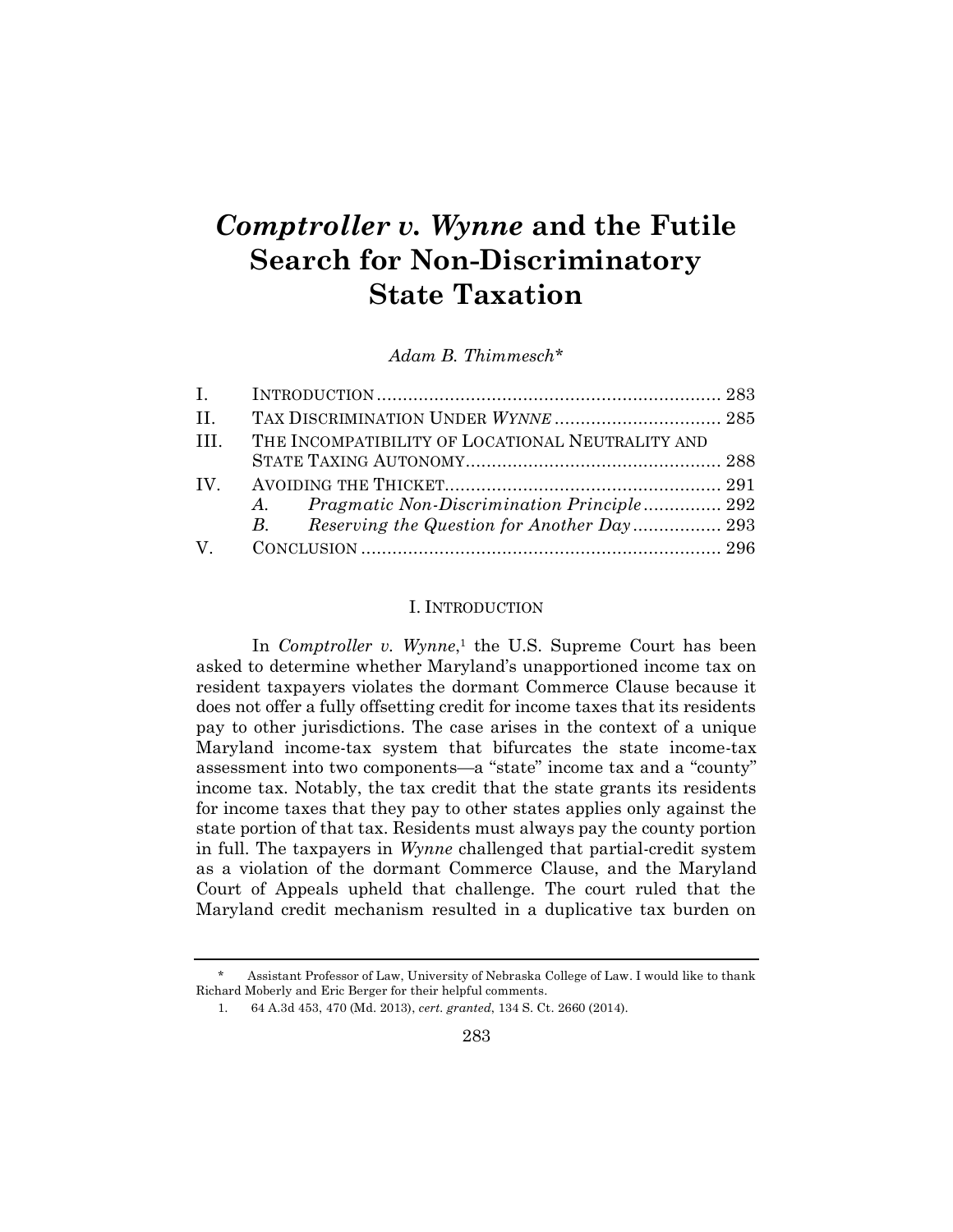# *Comptroller v. Wynne* **and the Futile Search for Non-Discriminatory State Taxation**

*Adam B. Thimmesch\**

| $\mathbf{I}$ . |                                                         |  |
|----------------|---------------------------------------------------------|--|
| $\mathbf{H}$ . | TAX DISCRIMINATION UNDER WYNNE  285                     |  |
| TH.            | THE INCOMPATIBILITY OF LOCATIONAL NEUTRALITY AND        |  |
|                |                                                         |  |
| $IV_{\cdot}$   |                                                         |  |
|                | <i>Pragmatic Non-Discrimination Principle 292</i><br>A. |  |
|                | $B_{\cdot}$                                             |  |
| $\rm V$        |                                                         |  |

## I. INTRODUCTION

In *Comptroller v. Wynne*,<sup>1</sup> the U.S. Supreme Court has been asked to determine whether Maryland's unapportioned income tax on resident taxpayers violates the dormant Commerce Clause because it does not offer a fully offsetting credit for income taxes that its residents pay to other jurisdictions. The case arises in the context of a unique Maryland income-tax system that bifurcates the state income-tax assessment into two components—a "state" income tax and a "county" income tax. Notably, the tax credit that the state grants its residents for income taxes that they pay to other states applies only against the state portion of that tax. Residents must always pay the county portion in full. The taxpayers in *Wynne* challenged that partial-credit system as a violation of the dormant Commerce Clause, and the Maryland Court of Appeals upheld that challenge. The court ruled that the Maryland credit mechanism resulted in a duplicative tax burden on

Assistant Professor of Law, University of Nebraska College of Law. I would like to thank Richard Moberly and Eric Berger for their helpful comments.

<sup>1.</sup> 64 A.3d 453, 470 (Md. 2013), *cert. granted*, 134 S. Ct. 2660 (2014).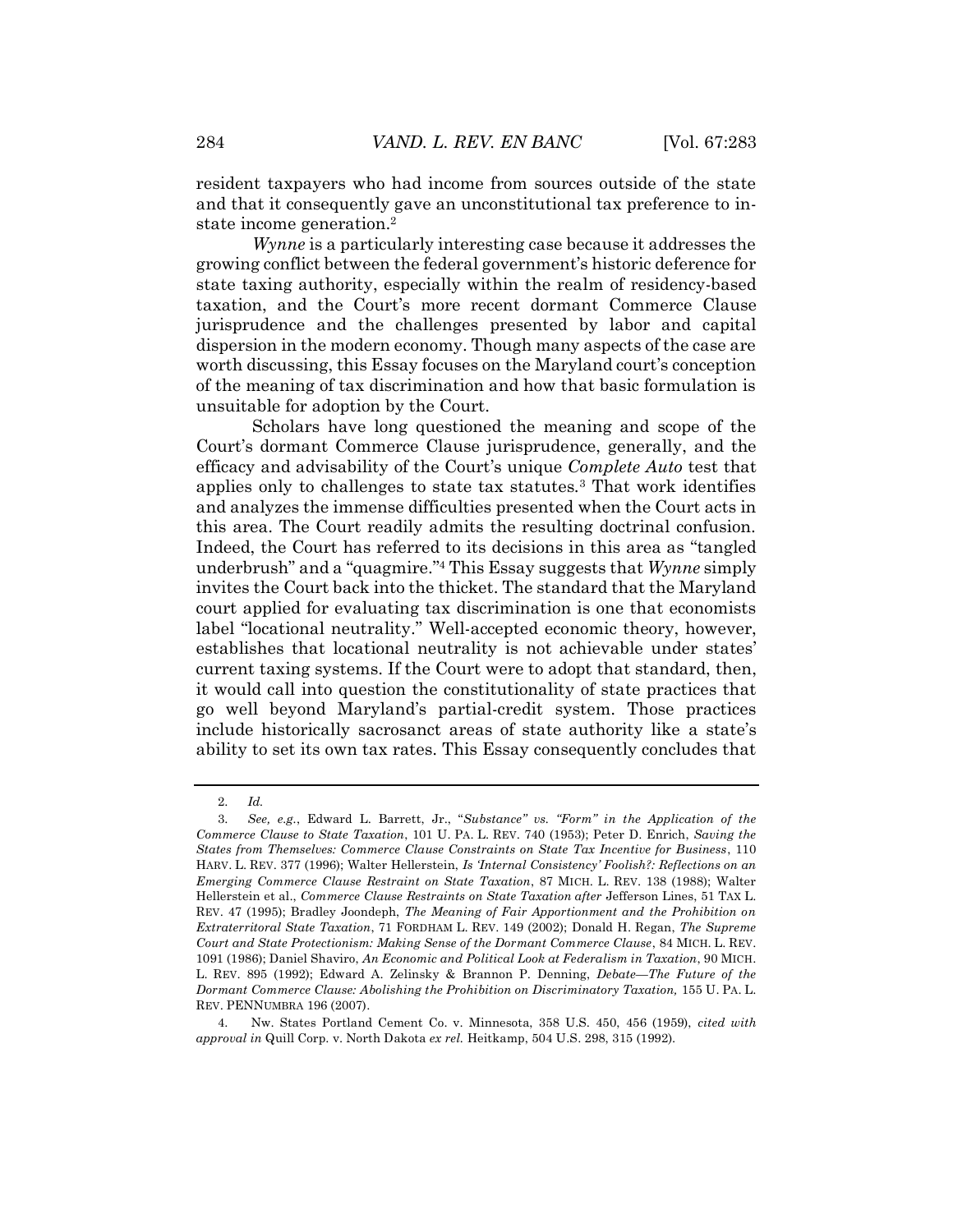resident taxpayers who had income from sources outside of the state and that it consequently gave an unconstitutional tax preference to instate income generation.<sup>2</sup>

*Wynne* is a particularly interesting case because it addresses the growing conflict between the federal government's historic deference for state taxing authority, especially within the realm of residency-based taxation, and the Court's more recent dormant Commerce Clause jurisprudence and the challenges presented by labor and capital dispersion in the modern economy. Though many aspects of the case are worth discussing, this Essay focuses on the Maryland court's conception of the meaning of tax discrimination and how that basic formulation is unsuitable for adoption by the Court.

Scholars have long questioned the meaning and scope of the Court's dormant Commerce Clause jurisprudence, generally, and the efficacy and advisability of the Court's unique *Complete Auto* test that applies only to challenges to state tax statutes.<sup>3</sup> That work identifies and analyzes the immense difficulties presented when the Court acts in this area. The Court readily admits the resulting doctrinal confusion. Indeed, the Court has referred to its decisions in this area as "tangled underbrush" and a "quagmire." <sup>4</sup> This Essay suggests that *Wynne* simply invites the Court back into the thicket. The standard that the Maryland court applied for evaluating tax discrimination is one that economists label "locational neutrality." Well-accepted economic theory, however, establishes that locational neutrality is not achievable under states' current taxing systems. If the Court were to adopt that standard, then, it would call into question the constitutionality of state practices that go well beyond Maryland's partial-credit system. Those practices include historically sacrosanct areas of state authority like a state's ability to set its own tax rates. This Essay consequently concludes that

<sup>2.</sup> *Id.*

<sup>3.</sup> *See, e.g.*, Edward L. Barrett, Jr., "*Substance" vs. "Form" in the Application of the Commerce Clause to State Taxation*, 101 U. PA. L. REV. 740 (1953); Peter D. Enrich, *Saving the States from Themselves: Commerce Clause Constraints on State Tax Incentive for Business*, 110 HARV. L. REV. 377 (1996); Walter Hellerstein, *Is 'Internal Consistency' Foolish?: Reflections on an Emerging Commerce Clause Restraint on State Taxation*, 87 MICH. L. REV. 138 (1988); Walter Hellerstein et al., *Commerce Clause Restraints on State Taxation after* Jefferson Lines, 51 TAX L. REV. 47 (1995); Bradley Joondeph, *The Meaning of Fair Apportionment and the Prohibition on Extraterritoral State Taxation*, 71 FORDHAM L. REV. 149 (2002); Donald H. Regan, *The Supreme Court and State Protectionism: Making Sense of the Dormant Commerce Clause*, 84 MICH. L. REV. 1091 (1986); Daniel Shaviro, *An Economic and Political Look at Federalism in Taxation*, 90 MICH. L. REV. 895 (1992); Edward A. Zelinsky & Brannon P. Denning, *Debate—The Future of the Dormant Commerce Clause: Abolishing the Prohibition on Discriminatory Taxation,* 155 U. PA. L. REV. PENNUMBRA 196 (2007).

<sup>4.</sup> Nw. States Portland Cement Co. v. Minnesota, 358 U.S. 450, 456 (1959), *cited with approval in* Quill Corp. v. North Dakota *ex rel.* Heitkamp, 504 U.S. 298, 315 (1992).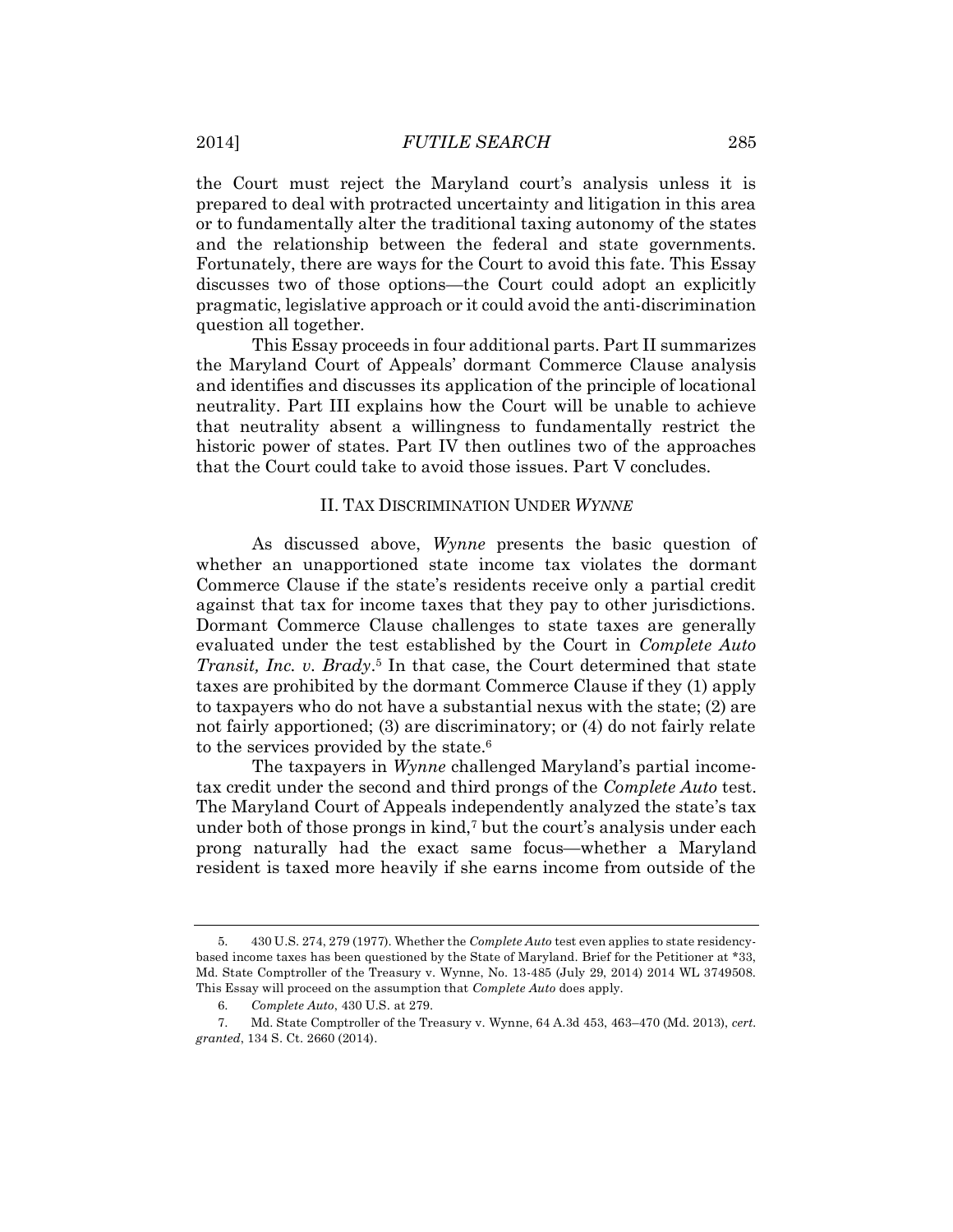the Court must reject the Maryland court's analysis unless it is prepared to deal with protracted uncertainty and litigation in this area or to fundamentally alter the traditional taxing autonomy of the states and the relationship between the federal and state governments. Fortunately, there are ways for the Court to avoid this fate. This Essay discusses two of those options—the Court could adopt an explicitly pragmatic, legislative approach or it could avoid the anti-discrimination question all together.

This Essay proceeds in four additional parts. Part II summarizes the Maryland Court of Appeals' dormant Commerce Clause analysis and identifies and discusses its application of the principle of locational neutrality. Part III explains how the Court will be unable to achieve that neutrality absent a willingness to fundamentally restrict the historic power of states. Part IV then outlines two of the approaches that the Court could take to avoid those issues. Part V concludes.

#### II. TAX DISCRIMINATION UNDER *WYNNE*

As discussed above, *Wynne* presents the basic question of whether an unapportioned state income tax violates the dormant Commerce Clause if the state's residents receive only a partial credit against that tax for income taxes that they pay to other jurisdictions. Dormant Commerce Clause challenges to state taxes are generally evaluated under the test established by the Court in *Complete Auto Transit, Inc. v. Brady*. <sup>5</sup> In that case, the Court determined that state taxes are prohibited by the dormant Commerce Clause if they (1) apply to taxpayers who do not have a substantial nexus with the state; (2) are not fairly apportioned; (3) are discriminatory; or (4) do not fairly relate to the services provided by the state.<sup>6</sup>

The taxpayers in *Wynne* challenged Maryland's partial incometax credit under the second and third prongs of the *Complete Auto* test. The Maryland Court of Appeals independently analyzed the state's tax under both of those prongs in kind,<sup>7</sup> but the court's analysis under each prong naturally had the exact same focus—whether a Maryland resident is taxed more heavily if she earns income from outside of the

<sup>5.</sup> 430 U.S. 274, 279 (1977). Whether the *Complete Auto* test even applies to state residencybased income taxes has been questioned by the State of Maryland. Brief for the Petitioner at \*33, Md. State Comptroller of the Treasury v. Wynne, No. 13-485 (July 29, 2014) 2014 WL 3749508. This Essay will proceed on the assumption that *Complete Auto* does apply.

<sup>6.</sup> *Complete Auto*, 430 U.S. at 279.

<sup>7.</sup> Md. State Comptroller of the Treasury v. Wynne, 64 A.3d 453, 463–470 (Md. 2013), *cert. granted*, 134 S. Ct. 2660 (2014).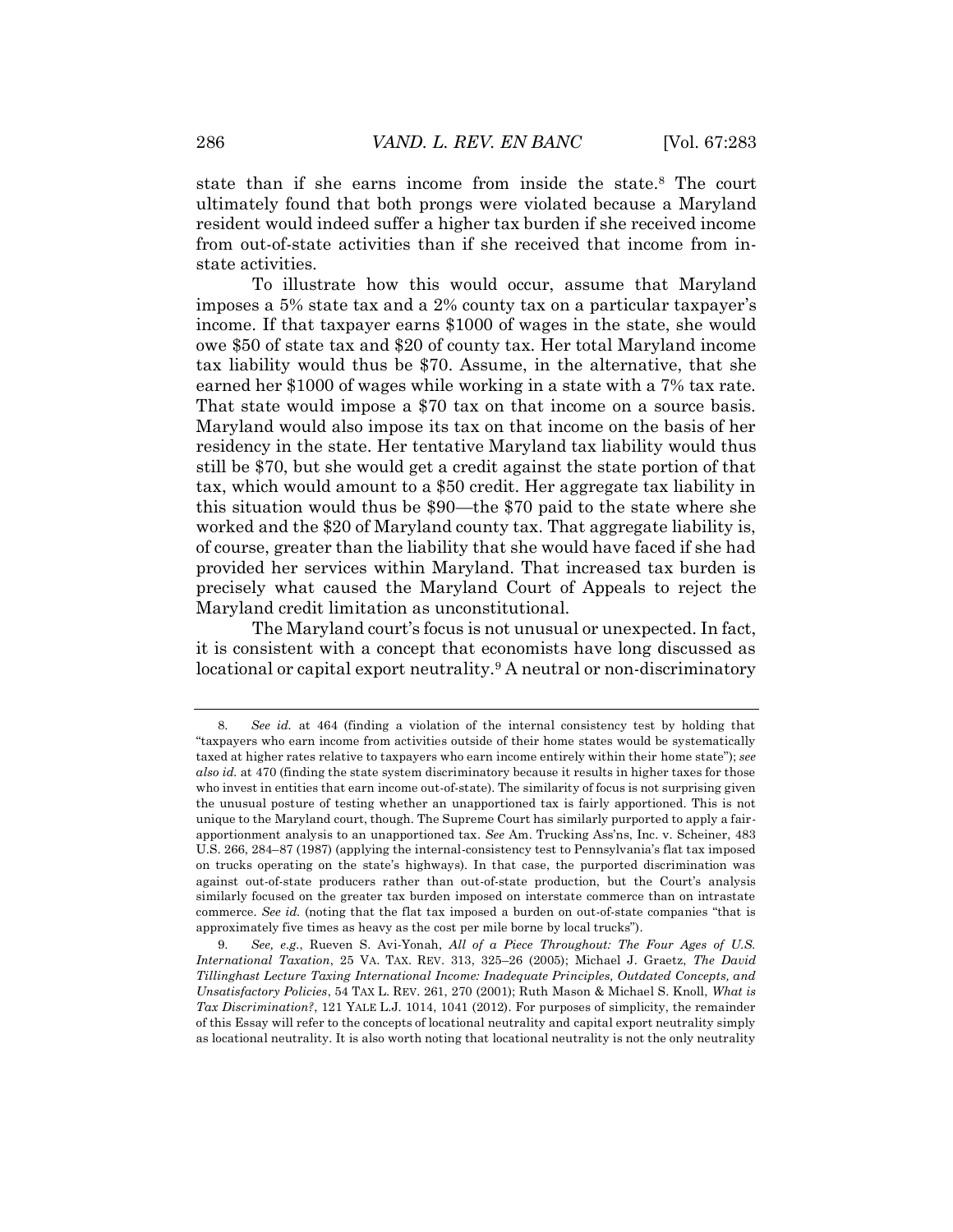state than if she earns income from inside the state.<sup>8</sup> The court ultimately found that both prongs were violated because a Maryland resident would indeed suffer a higher tax burden if she received income from out-of-state activities than if she received that income from instate activities.

To illustrate how this would occur, assume that Maryland imposes a 5% state tax and a 2% county tax on a particular taxpayer's income. If that taxpayer earns \$1000 of wages in the state, she would owe \$50 of state tax and \$20 of county tax. Her total Maryland income tax liability would thus be \$70. Assume, in the alternative, that she earned her \$1000 of wages while working in a state with a 7% tax rate. That state would impose a \$70 tax on that income on a source basis. Maryland would also impose its tax on that income on the basis of her residency in the state. Her tentative Maryland tax liability would thus still be \$70, but she would get a credit against the state portion of that tax, which would amount to a \$50 credit. Her aggregate tax liability in this situation would thus be \$90—the \$70 paid to the state where she worked and the \$20 of Maryland county tax. That aggregate liability is, of course, greater than the liability that she would have faced if she had provided her services within Maryland. That increased tax burden is precisely what caused the Maryland Court of Appeals to reject the Maryland credit limitation as unconstitutional.

The Maryland court's focus is not unusual or unexpected. In fact, it is consistent with a concept that economists have long discussed as locational or capital export neutrality.<sup>9</sup> A neutral or non-discriminatory

<sup>8.</sup> *See id.* at 464 (finding a violation of the internal consistency test by holding that "taxpayers who earn income from activities outside of their home states would be systematically taxed at higher rates relative to taxpayers who earn income entirely within their home state"); *see also id.* at 470 (finding the state system discriminatory because it results in higher taxes for those who invest in entities that earn income out-of-state). The similarity of focus is not surprising given the unusual posture of testing whether an unapportioned tax is fairly apportioned. This is not unique to the Maryland court, though. The Supreme Court has similarly purported to apply a fairapportionment analysis to an unapportioned tax. *See* Am. Trucking Ass'ns, Inc. v. Scheiner, 483 U.S. 266, 284–87 (1987) (applying the internal-consistency test to Pennsylvania's flat tax imposed on trucks operating on the state's highways). In that case, the purported discrimination was against out-of-state producers rather than out-of-state production, but the Court's analysis similarly focused on the greater tax burden imposed on interstate commerce than on intrastate commerce. *See id.* (noting that the flat tax imposed a burden on out-of-state companies "that is approximately five times as heavy as the cost per mile borne by local trucks").

<sup>9.</sup> *See, e.g.*, Rueven S. Avi-Yonah, *All of a Piece Throughout: The Four Ages of U.S. International Taxation*, 25 VA. TAX. REV. 313, 325–26 (2005); Michael J. Graetz, *The David Tillinghast Lecture Taxing International Income: Inadequate Principles, Outdated Concepts, and Unsatisfactory Policies*, 54 TAX L. REV. 261, 270 (2001); Ruth Mason & Michael S. Knoll, *What is Tax Discrimination?*, 121 YALE L.J. 1014, 1041 (2012). For purposes of simplicity, the remainder of this Essay will refer to the concepts of locational neutrality and capital export neutrality simply as locational neutrality. It is also worth noting that locational neutrality is not the only neutrality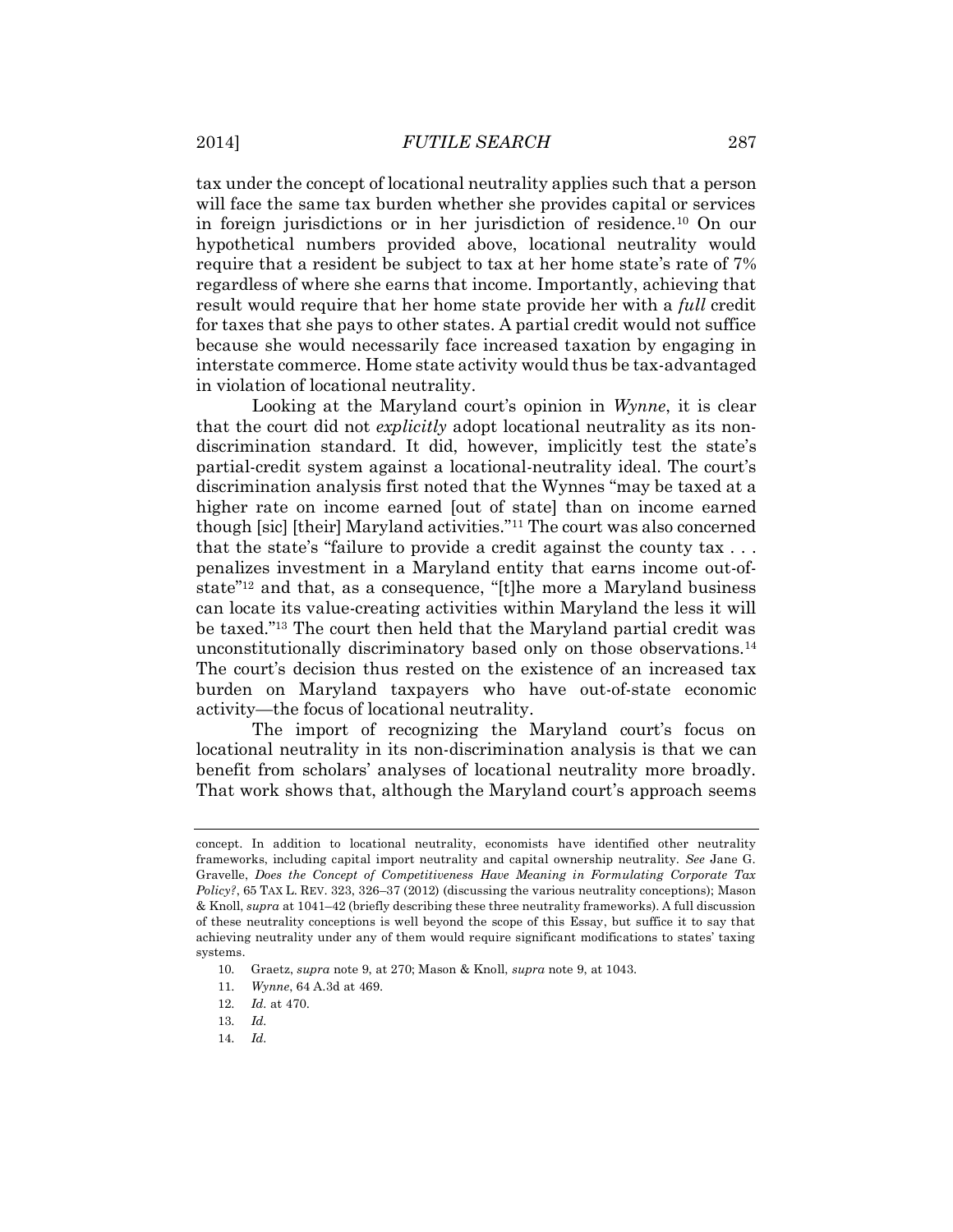tax under the concept of locational neutrality applies such that a person will face the same tax burden whether she provides capital or services in foreign jurisdictions or in her jurisdiction of residence.<sup>10</sup> On our hypothetical numbers provided above, locational neutrality would require that a resident be subject to tax at her home state's rate of 7% regardless of where she earns that income. Importantly, achieving that result would require that her home state provide her with a *full* credit for taxes that she pays to other states. A partial credit would not suffice because she would necessarily face increased taxation by engaging in interstate commerce. Home state activity would thus be tax-advantaged in violation of locational neutrality.

Looking at the Maryland court's opinion in *Wynne*, it is clear that the court did not *explicitly* adopt locational neutrality as its nondiscrimination standard. It did, however, implicitly test the state's partial-credit system against a locational-neutrality ideal. The court's discrimination analysis first noted that the Wynnes "may be taxed at a higher rate on income earned [out of state] than on income earned though [sic] [their] Maryland activities." <sup>11</sup> The court was also concerned that the state's "failure to provide a credit against the county tax . . . penalizes investment in a Maryland entity that earns income out-ofstate<sup>"12</sup> and that, as a consequence, "[t]he more a Maryland business can locate its value-creating activities within Maryland the less it will be taxed."<sup>13</sup> The court then held that the Maryland partial credit was unconstitutionally discriminatory based only on those observations.<sup>14</sup> The court's decision thus rested on the existence of an increased tax burden on Maryland taxpayers who have out-of-state economic activity—the focus of locational neutrality.

The import of recognizing the Maryland court's focus on locational neutrality in its non-discrimination analysis is that we can benefit from scholars' analyses of locational neutrality more broadly. That work shows that, although the Maryland court's approach seems

14. *Id.*

concept. In addition to locational neutrality, economists have identified other neutrality frameworks, including capital import neutrality and capital ownership neutrality. *See* Jane G. Gravelle, *Does the Concept of Competitiveness Have Meaning in Formulating Corporate Tax Policy?*, 65 TAX L. REV. 323, 326–37 (2012) (discussing the various neutrality conceptions); Mason & Knoll, *supra* at 1041–42 (briefly describing these three neutrality frameworks). A full discussion of these neutrality conceptions is well beyond the scope of this Essay, but suffice it to say that achieving neutrality under any of them would require significant modifications to states' taxing systems.

<sup>10.</sup> Graetz, *supra* note 9, at 270; Mason & Knoll, *supra* note 9, at 1043.

<sup>11.</sup> *Wynne*, 64 A.3d at 469.

<sup>12.</sup> *Id.* at 470.

<sup>13.</sup> *Id.*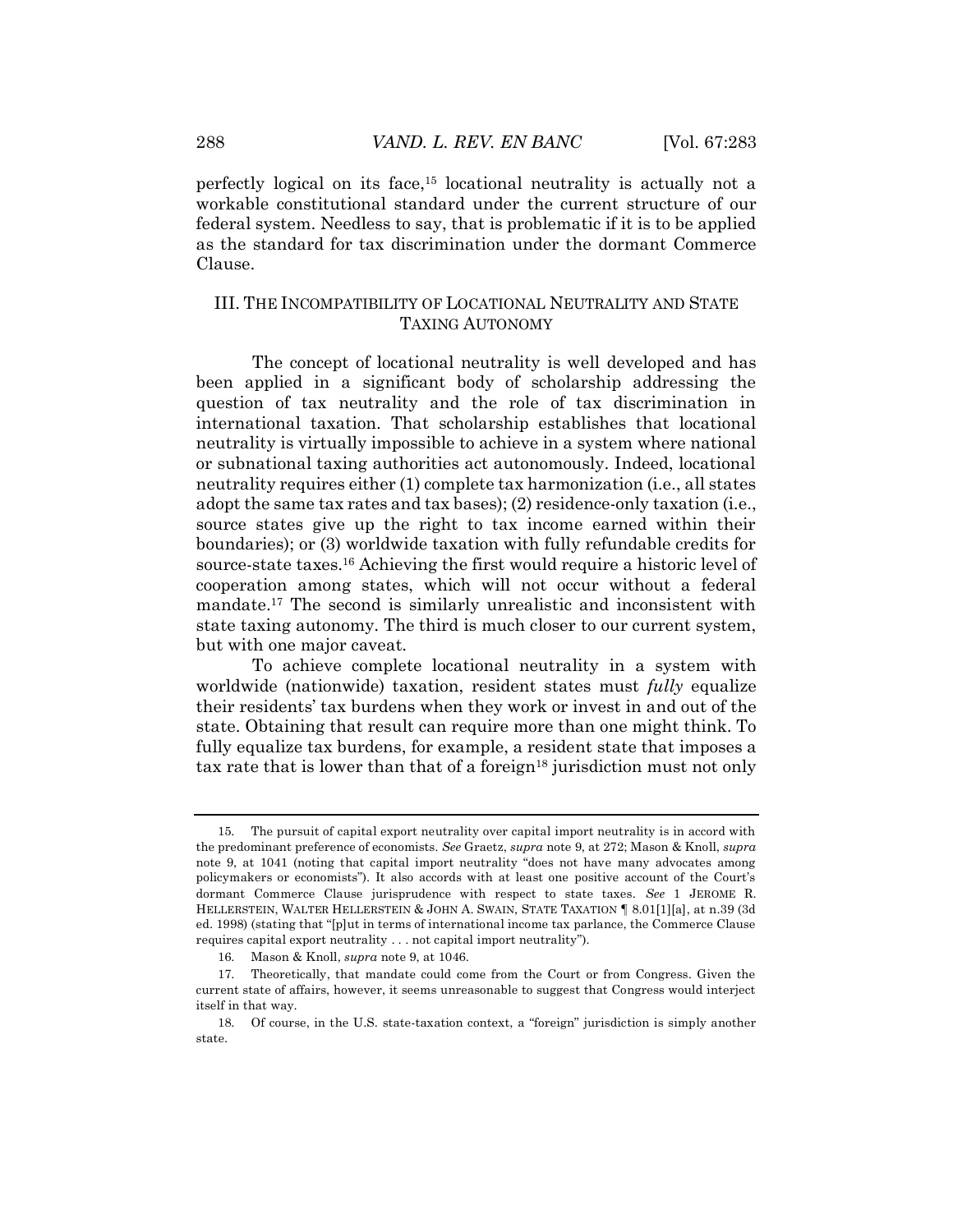perfectly logical on its face,<sup>15</sup> locational neutrality is actually not a workable constitutional standard under the current structure of our federal system. Needless to say, that is problematic if it is to be applied as the standard for tax discrimination under the dormant Commerce Clause.

# III. THE INCOMPATIBILITY OF LOCATIONAL NEUTRALITY AND STATE TAXING AUTONOMY

The concept of locational neutrality is well developed and has been applied in a significant body of scholarship addressing the question of tax neutrality and the role of tax discrimination in international taxation. That scholarship establishes that locational neutrality is virtually impossible to achieve in a system where national or subnational taxing authorities act autonomously. Indeed, locational neutrality requires either (1) complete tax harmonization (i.e., all states adopt the same tax rates and tax bases); (2) residence-only taxation (i.e., source states give up the right to tax income earned within their boundaries); or (3) worldwide taxation with fully refundable credits for source-state taxes.<sup>16</sup> Achieving the first would require a historic level of cooperation among states, which will not occur without a federal mandate.<sup>17</sup> The second is similarly unrealistic and inconsistent with state taxing autonomy. The third is much closer to our current system, but with one major caveat.

To achieve complete locational neutrality in a system with worldwide (nationwide) taxation, resident states must *fully* equalize their residents' tax burdens when they work or invest in and out of the state. Obtaining that result can require more than one might think. To fully equalize tax burdens, for example, a resident state that imposes a tax rate that is lower than that of a foreign<sup>18</sup> jurisdiction must not only

<sup>15.</sup> The pursuit of capital export neutrality over capital import neutrality is in accord with the predominant preference of economists. *See* Graetz, *supra* note 9, at 272; Mason & Knoll, *supra* note 9, at 1041 (noting that capital import neutrality "does not have many advocates among policymakers or economists"). It also accords with at least one positive account of the Court's dormant Commerce Clause jurisprudence with respect to state taxes. *See* 1 JEROME R. HELLERSTEIN, WALTER HELLERSTEIN & JOHN A. SWAIN, STATE TAXATION ¶ 8.01[1][a], at n.39 (3d ed. 1998) (stating that "[p]ut in terms of international income tax parlance, the Commerce Clause requires capital export neutrality . . . not capital import neutrality").

<sup>16.</sup> Mason & Knoll, *supra* note 9, at 1046.

<sup>17.</sup> Theoretically, that mandate could come from the Court or from Congress. Given the current state of affairs, however, it seems unreasonable to suggest that Congress would interject itself in that way.

<sup>18.</sup> Of course, in the U.S. state-taxation context, a "foreign" jurisdiction is simply another state.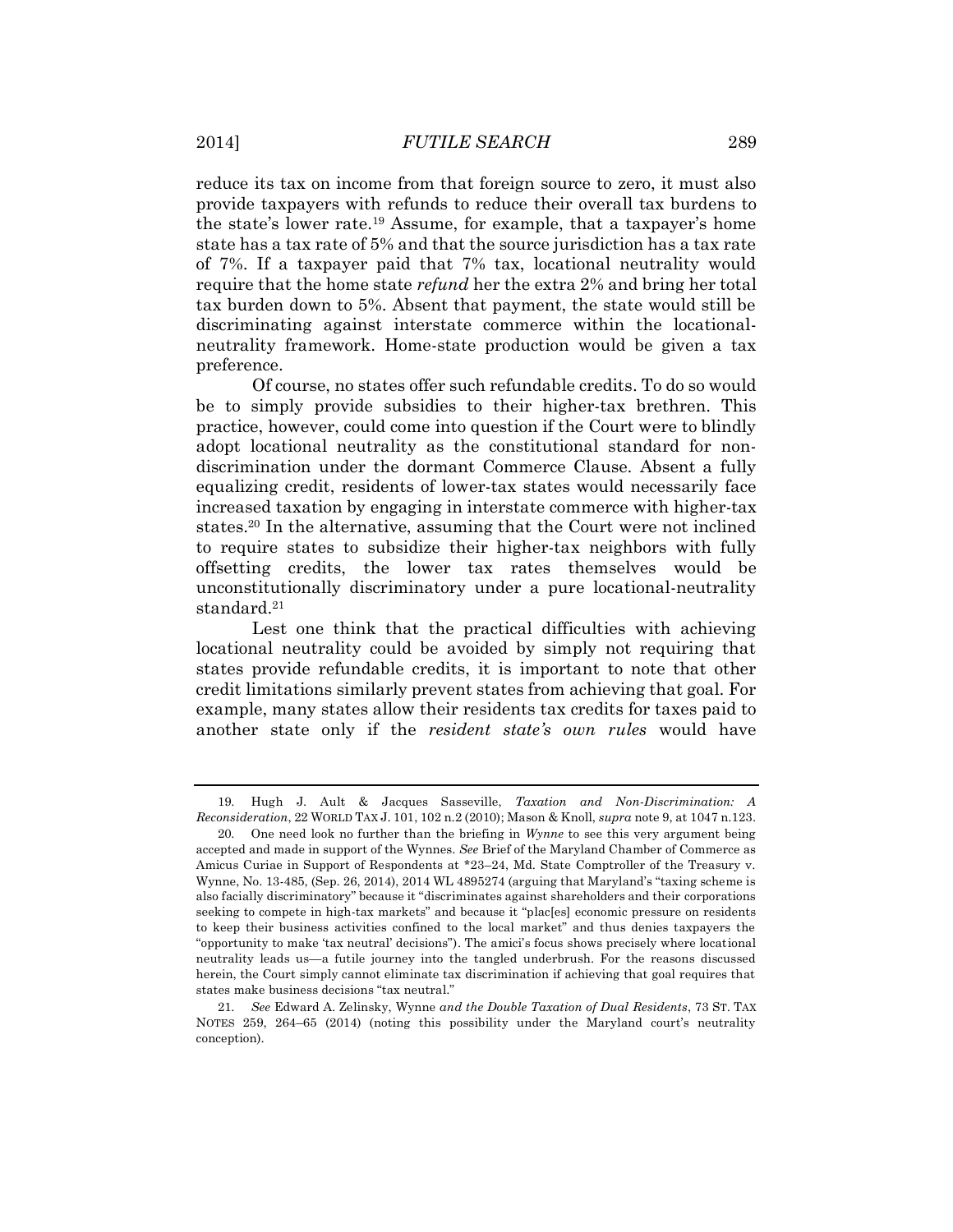reduce its tax on income from that foreign source to zero, it must also provide taxpayers with refunds to reduce their overall tax burdens to the state's lower rate.<sup>19</sup> Assume, for example, that a taxpayer's home state has a tax rate of 5% and that the source jurisdiction has a tax rate of 7%. If a taxpayer paid that 7% tax, locational neutrality would require that the home state *refund* her the extra 2% and bring her total tax burden down to 5%. Absent that payment, the state would still be discriminating against interstate commerce within the locationalneutrality framework. Home-state production would be given a tax preference.

Of course, no states offer such refundable credits. To do so would be to simply provide subsidies to their higher-tax brethren. This practice, however, could come into question if the Court were to blindly adopt locational neutrality as the constitutional standard for nondiscrimination under the dormant Commerce Clause. Absent a fully equalizing credit, residents of lower-tax states would necessarily face increased taxation by engaging in interstate commerce with higher-tax states.<sup>20</sup> In the alternative, assuming that the Court were not inclined to require states to subsidize their higher-tax neighbors with fully offsetting credits, the lower tax rates themselves would be unconstitutionally discriminatory under a pure locational-neutrality standard.<sup>21</sup>

Lest one think that the practical difficulties with achieving locational neutrality could be avoided by simply not requiring that states provide refundable credits, it is important to note that other credit limitations similarly prevent states from achieving that goal. For example, many states allow their residents tax credits for taxes paid to another state only if the *resident state's own rules* would have

<sup>19.</sup> Hugh J. Ault & Jacques Sasseville, *Taxation and Non-Discrimination: A Reconsideration*, 22 WORLD TAX J. 101, 102 n.2 (2010); Mason & Knoll, *supra* note 9, at 1047 n.123.

<sup>20.</sup> One need look no further than the briefing in *Wynne* to see this very argument being accepted and made in support of the Wynnes. *See* Brief of the Maryland Chamber of Commerce as Amicus Curiae in Support of Respondents at \*23–24, Md. State Comptroller of the Treasury v. Wynne, No. 13-485, (Sep. 26, 2014), 2014 WL 4895274 (arguing that Maryland's "taxing scheme is also facially discriminatory" because it "discriminates against shareholders and their corporations seeking to compete in high-tax markets" and because it "plac[es] economic pressure on residents to keep their business activities confined to the local market" and thus denies taxpayers the "opportunity to make 'tax neutral' decisions"). The amici's focus shows precisely where locational neutrality leads us—a futile journey into the tangled underbrush. For the reasons discussed herein, the Court simply cannot eliminate tax discrimination if achieving that goal requires that states make business decisions "tax neutral."

<sup>21.</sup> *See* Edward A. Zelinsky, Wynne *and the Double Taxation of Dual Residents*, 73 ST. TAX NOTES 259, 264–65 (2014) (noting this possibility under the Maryland court's neutrality conception).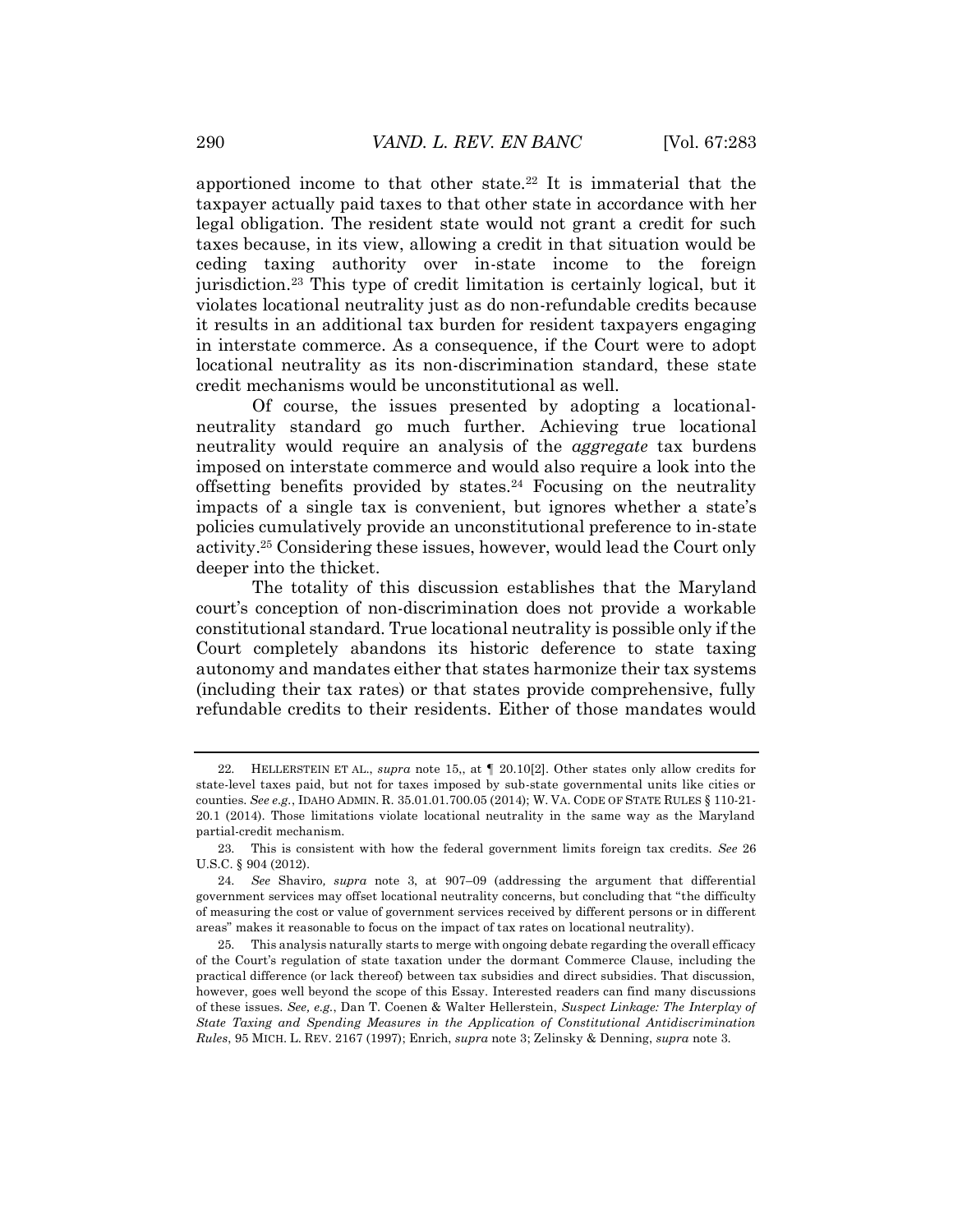apportioned income to that other state.<sup>22</sup> It is immaterial that the taxpayer actually paid taxes to that other state in accordance with her legal obligation. The resident state would not grant a credit for such taxes because, in its view, allowing a credit in that situation would be ceding taxing authority over in-state income to the foreign jurisdiction.<sup>23</sup> This type of credit limitation is certainly logical, but it violates locational neutrality just as do non-refundable credits because it results in an additional tax burden for resident taxpayers engaging in interstate commerce. As a consequence, if the Court were to adopt locational neutrality as its non-discrimination standard, these state credit mechanisms would be unconstitutional as well.

Of course, the issues presented by adopting a locationalneutrality standard go much further. Achieving true locational neutrality would require an analysis of the *aggregate* tax burdens imposed on interstate commerce and would also require a look into the offsetting benefits provided by states.<sup>24</sup> Focusing on the neutrality impacts of a single tax is convenient, but ignores whether a state's policies cumulatively provide an unconstitutional preference to in-state activity.<sup>25</sup> Considering these issues, however, would lead the Court only deeper into the thicket.

The totality of this discussion establishes that the Maryland court's conception of non-discrimination does not provide a workable constitutional standard. True locational neutrality is possible only if the Court completely abandons its historic deference to state taxing autonomy and mandates either that states harmonize their tax systems (including their tax rates) or that states provide comprehensive, fully refundable credits to their residents. Either of those mandates would

<sup>22.</sup> HELLERSTEIN ET AL., *supra* note 15,, at ¶ 20.10[2]. Other states only allow credits for state-level taxes paid, but not for taxes imposed by sub-state governmental units like cities or counties. *See e.g.*, IDAHO ADMIN. R. 35.01.01.700.05 (2014); W. VA. CODE OF STATE RULES § 110-21- 20.1 (2014). Those limitations violate locational neutrality in the same way as the Maryland partial-credit mechanism.

<sup>23.</sup> This is consistent with how the federal government limits foreign tax credits. *See* 26 U.S.C. § 904 (2012).

<sup>24.</sup> *See* Shaviro*, supra* note 3, at 907–09 (addressing the argument that differential government services may offset locational neutrality concerns, but concluding that "the difficulty of measuring the cost or value of government services received by different persons or in different areas" makes it reasonable to focus on the impact of tax rates on locational neutrality).

<sup>25.</sup> This analysis naturally starts to merge with ongoing debate regarding the overall efficacy of the Court's regulation of state taxation under the dormant Commerce Clause, including the practical difference (or lack thereof) between tax subsidies and direct subsidies. That discussion, however, goes well beyond the scope of this Essay. Interested readers can find many discussions of these issues. *See, e.g.*, Dan T. Coenen & Walter Hellerstein, *Suspect Linkage: The Interplay of State Taxing and Spending Measures in the Application of Constitutional Antidiscrimination Rules*, 95 MICH. L. REV. 2167 (1997); Enrich, *supra* note 3; Zelinsky & Denning, *supra* note 3.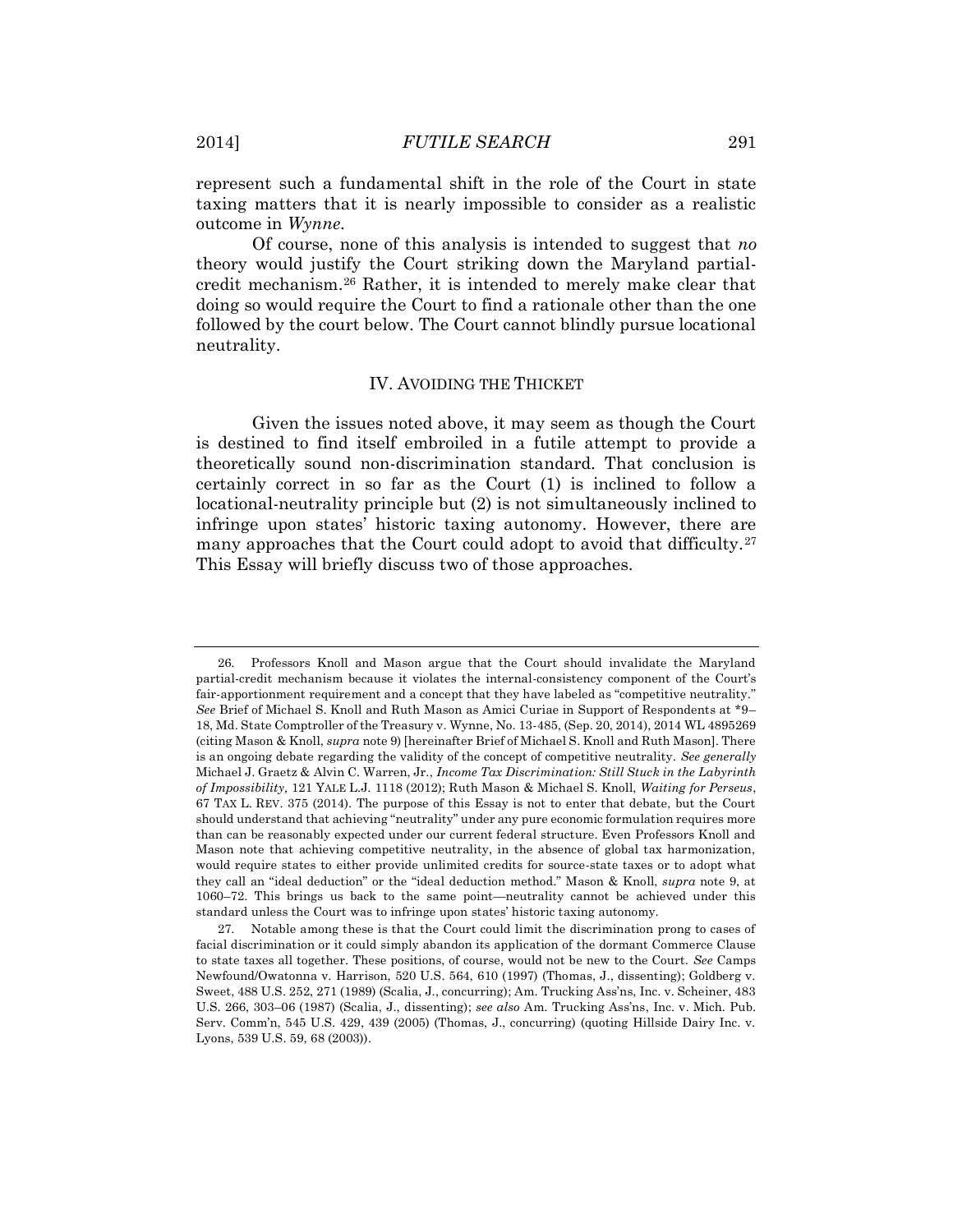represent such a fundamental shift in the role of the Court in state taxing matters that it is nearly impossible to consider as a realistic outcome in *Wynne*.

Of course, none of this analysis is intended to suggest that *no* theory would justify the Court striking down the Maryland partialcredit mechanism.<sup>26</sup> Rather, it is intended to merely make clear that doing so would require the Court to find a rationale other than the one followed by the court below. The Court cannot blindly pursue locational neutrality.

# IV. AVOIDING THE THICKET

Given the issues noted above, it may seem as though the Court is destined to find itself embroiled in a futile attempt to provide a theoretically sound non-discrimination standard. That conclusion is certainly correct in so far as the Court (1) is inclined to follow a locational-neutrality principle but (2) is not simultaneously inclined to infringe upon states' historic taxing autonomy. However, there are many approaches that the Court could adopt to avoid that difficulty.<sup>27</sup> This Essay will briefly discuss two of those approaches.

<sup>26.</sup> Professors Knoll and Mason argue that the Court should invalidate the Maryland partial-credit mechanism because it violates the internal-consistency component of the Court's fair-apportionment requirement and a concept that they have labeled as "competitive neutrality." *See* Brief of Michael S. Knoll and Ruth Mason as Amici Curiae in Support of Respondents at \*9– 18, Md. State Comptroller of the Treasury v. Wynne, No. 13-485, (Sep. 20, 2014), 2014 WL 4895269 (citing Mason & Knoll, *supra* note 9) [hereinafter Brief of Michael S. Knoll and Ruth Mason]. There is an ongoing debate regarding the validity of the concept of competitive neutrality. *See generally*  Michael J. Graetz & Alvin C. Warren, Jr., *Income Tax Discrimination: Still Stuck in the Labyrinth of Impossibility,* 121 YALE L.J. 1118 (2012); Ruth Mason & Michael S. Knoll, *Waiting for Perseus*, 67 TAX L. REV. 375 (2014). The purpose of this Essay is not to enter that debate, but the Court should understand that achieving "neutrality" under any pure economic formulation requires more than can be reasonably expected under our current federal structure. Even Professors Knoll and Mason note that achieving competitive neutrality, in the absence of global tax harmonization, would require states to either provide unlimited credits for source-state taxes or to adopt what they call an "ideal deduction" or the "ideal deduction method." Mason & Knoll, *supra* note 9, at 1060–72. This brings us back to the same point—neutrality cannot be achieved under this standard unless the Court was to infringe upon states' historic taxing autonomy.

<sup>27.</sup> Notable among these is that the Court could limit the discrimination prong to cases of facial discrimination or it could simply abandon its application of the dormant Commerce Clause to state taxes all together. These positions, of course, would not be new to the Court. *See* Camps Newfound/Owatonna v. Harrison, 520 U.S. 564, 610 (1997) (Thomas, J., dissenting); Goldberg v. Sweet, 488 U.S. 252, 271 (1989) (Scalia, J., concurring); Am. Trucking Ass'ns, Inc. v. Scheiner, 483 U.S. 266, 303–06 (1987) (Scalia, J., dissenting); *see also* Am. Trucking Ass'ns, Inc. v. Mich. Pub. Serv. Comm'n, 545 U.S. 429, 439 (2005) (Thomas, J., concurring) (quoting Hillside Dairy Inc. v. Lyons, 539 U.S. 59, 68 (2003)).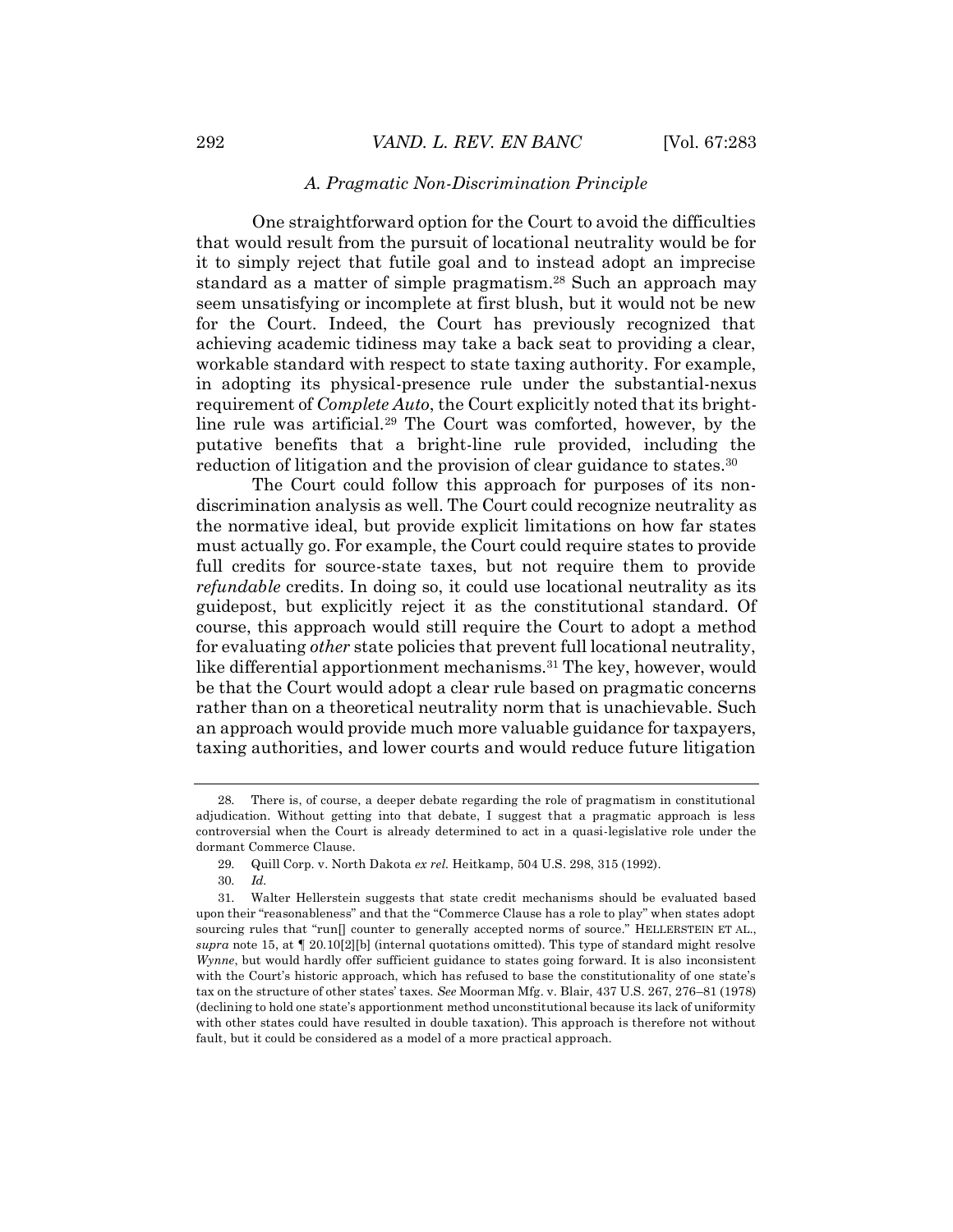### *A. Pragmatic Non-Discrimination Principle*

One straightforward option for the Court to avoid the difficulties that would result from the pursuit of locational neutrality would be for it to simply reject that futile goal and to instead adopt an imprecise standard as a matter of simple pragmatism.<sup>28</sup> Such an approach may seem unsatisfying or incomplete at first blush, but it would not be new for the Court. Indeed, the Court has previously recognized that achieving academic tidiness may take a back seat to providing a clear, workable standard with respect to state taxing authority. For example, in adopting its physical-presence rule under the substantial-nexus requirement of *Complete Auto*, the Court explicitly noted that its brightline rule was artificial.<sup>29</sup> The Court was comforted, however, by the putative benefits that a bright-line rule provided, including the reduction of litigation and the provision of clear guidance to states.<sup>30</sup>

The Court could follow this approach for purposes of its nondiscrimination analysis as well. The Court could recognize neutrality as the normative ideal, but provide explicit limitations on how far states must actually go. For example, the Court could require states to provide full credits for source-state taxes, but not require them to provide *refundable* credits. In doing so, it could use locational neutrality as its guidepost, but explicitly reject it as the constitutional standard. Of course, this approach would still require the Court to adopt a method for evaluating *other* state policies that prevent full locational neutrality, like differential apportionment mechanisms.<sup>31</sup> The key, however, would be that the Court would adopt a clear rule based on pragmatic concerns rather than on a theoretical neutrality norm that is unachievable. Such an approach would provide much more valuable guidance for taxpayers, taxing authorities, and lower courts and would reduce future litigation

<sup>28.</sup> There is, of course, a deeper debate regarding the role of pragmatism in constitutional adjudication. Without getting into that debate, I suggest that a pragmatic approach is less controversial when the Court is already determined to act in a quasi-legislative role under the dormant Commerce Clause.

<sup>29.</sup> Quill Corp. v. North Dakota *ex rel.* Heitkamp, 504 U.S. 298, 315 (1992).

<sup>30.</sup> *Id.*

<sup>31.</sup> Walter Hellerstein suggests that state credit mechanisms should be evaluated based upon their "reasonableness" and that the "Commerce Clause has a role to play" when states adopt sourcing rules that "run[] counter to generally accepted norms of source." HELLERSTEIN ET AL., *supra* note 15, at ¶ 20.10[2][b] (internal quotations omitted). This type of standard might resolve *Wynne*, but would hardly offer sufficient guidance to states going forward. It is also inconsistent with the Court's historic approach, which has refused to base the constitutionality of one state's tax on the structure of other states' taxes. *See* Moorman Mfg. v. Blair, 437 U.S. 267, 276–81 (1978) (declining to hold one state's apportionment method unconstitutional because its lack of uniformity with other states could have resulted in double taxation). This approach is therefore not without fault, but it could be considered as a model of a more practical approach.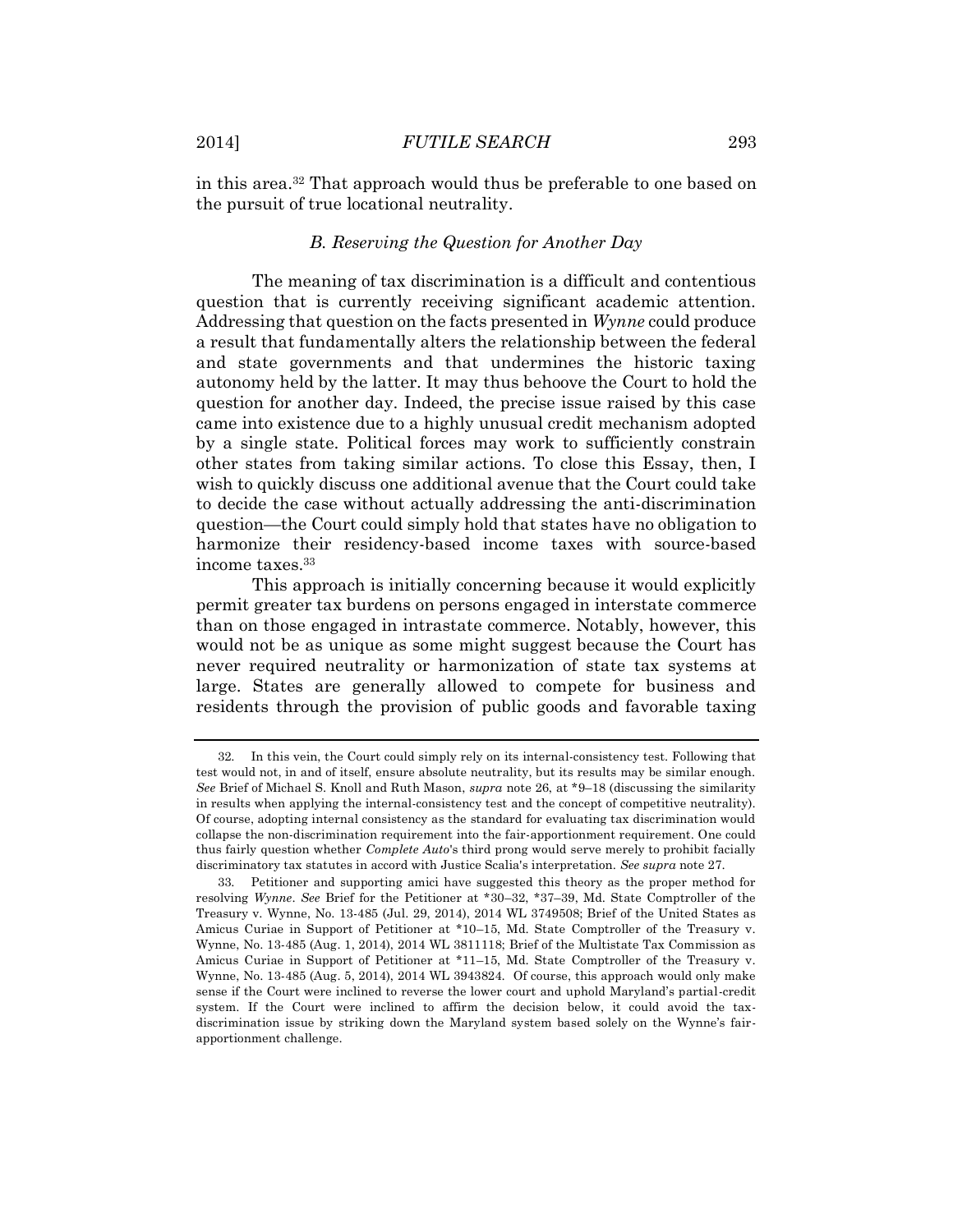in this area.<sup>32</sup> That approach would thus be preferable to one based on the pursuit of true locational neutrality.

### *B. Reserving the Question for Another Day*

The meaning of tax discrimination is a difficult and contentious question that is currently receiving significant academic attention. Addressing that question on the facts presented in *Wynne* could produce a result that fundamentally alters the relationship between the federal and state governments and that undermines the historic taxing autonomy held by the latter. It may thus behoove the Court to hold the question for another day. Indeed, the precise issue raised by this case came into existence due to a highly unusual credit mechanism adopted by a single state. Political forces may work to sufficiently constrain other states from taking similar actions. To close this Essay, then, I wish to quickly discuss one additional avenue that the Court could take to decide the case without actually addressing the anti-discrimination question—the Court could simply hold that states have no obligation to harmonize their residency-based income taxes with source-based income taxes.<sup>33</sup>

This approach is initially concerning because it would explicitly permit greater tax burdens on persons engaged in interstate commerce than on those engaged in intrastate commerce. Notably, however, this would not be as unique as some might suggest because the Court has never required neutrality or harmonization of state tax systems at large. States are generally allowed to compete for business and residents through the provision of public goods and favorable taxing

<sup>32.</sup> In this vein, the Court could simply rely on its internal-consistency test. Following that test would not, in and of itself, ensure absolute neutrality, but its results may be similar enough. *See* Brief of Michael S. Knoll and Ruth Mason, *supra* note 26, at \*9–18 (discussing the similarity in results when applying the internal-consistency test and the concept of competitive neutrality). Of course, adopting internal consistency as the standard for evaluating tax discrimination would collapse the non-discrimination requirement into the fair-apportionment requirement. One could thus fairly question whether *Complete Auto*'s third prong would serve merely to prohibit facially discriminatory tax statutes in accord with Justice Scalia's interpretation. *See supra* note 27.

<sup>33.</sup> Petitioner and supporting amici have suggested this theory as the proper method for resolving *Wynne*. *See* Brief for the Petitioner at \*30–32, \*37–39, Md. State Comptroller of the Treasury v. Wynne, No. 13-485 (Jul. 29, 2014), 2014 WL 3749508; Brief of the United States as Amicus Curiae in Support of Petitioner at \*10–15, Md. State Comptroller of the Treasury v. Wynne, No. 13-485 (Aug. 1, 2014), 2014 WL 3811118; Brief of the Multistate Tax Commission as Amicus Curiae in Support of Petitioner at \*11–15, Md. State Comptroller of the Treasury v. Wynne, No. 13-485 (Aug. 5, 2014), 2014 WL 3943824. Of course, this approach would only make sense if the Court were inclined to reverse the lower court and uphold Maryland's partial-credit system. If the Court were inclined to affirm the decision below, it could avoid the taxdiscrimination issue by striking down the Maryland system based solely on the Wynne's fairapportionment challenge.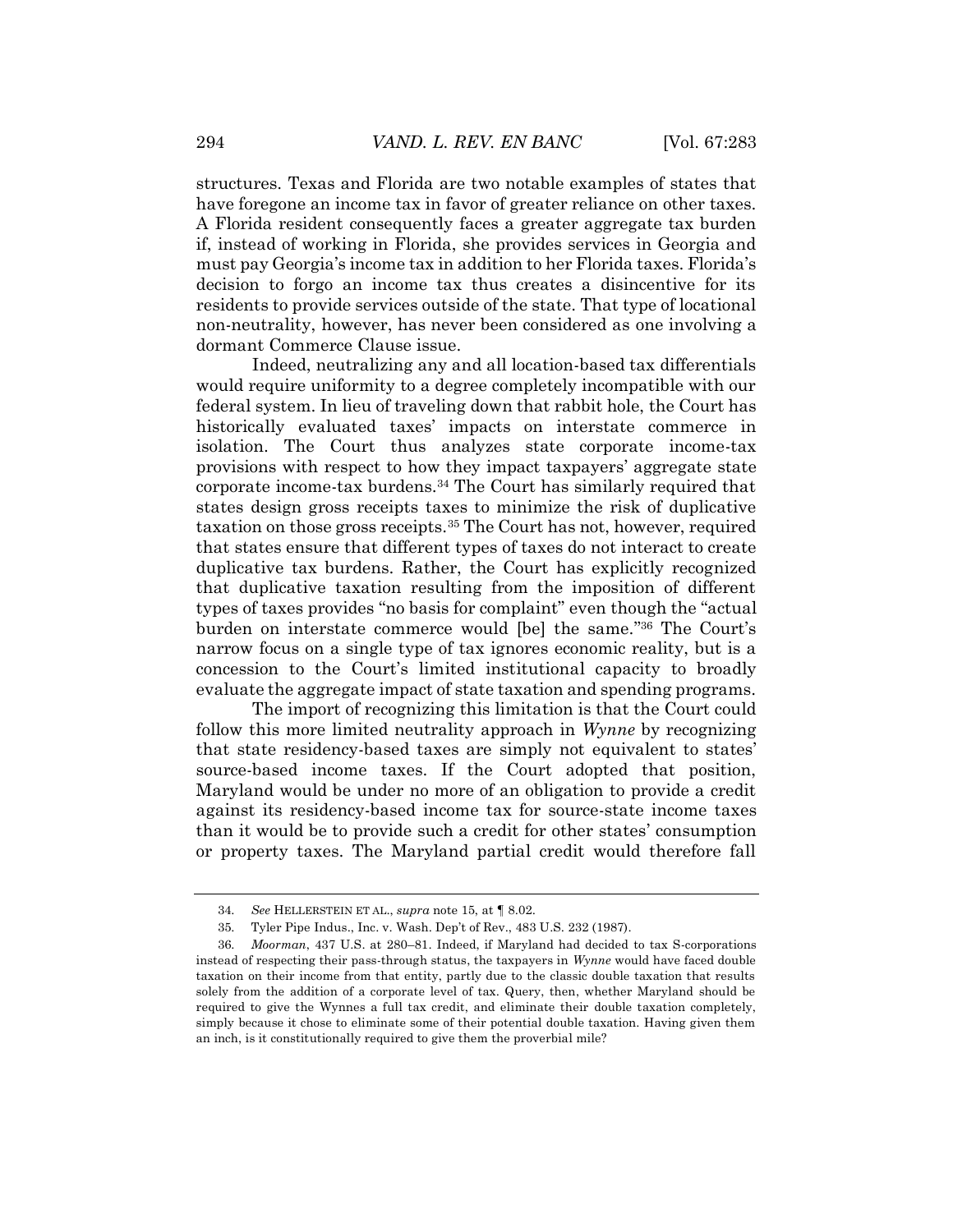structures. Texas and Florida are two notable examples of states that have foregone an income tax in favor of greater reliance on other taxes. A Florida resident consequently faces a greater aggregate tax burden if, instead of working in Florida, she provides services in Georgia and must pay Georgia's income tax in addition to her Florida taxes. Florida's decision to forgo an income tax thus creates a disincentive for its residents to provide services outside of the state. That type of locational non-neutrality, however, has never been considered as one involving a dormant Commerce Clause issue.

Indeed, neutralizing any and all location-based tax differentials would require uniformity to a degree completely incompatible with our federal system. In lieu of traveling down that rabbit hole, the Court has historically evaluated taxes' impacts on interstate commerce in isolation. The Court thus analyzes state corporate income-tax provisions with respect to how they impact taxpayers' aggregate state corporate income-tax burdens.<sup>34</sup> The Court has similarly required that states design gross receipts taxes to minimize the risk of duplicative taxation on those gross receipts.<sup>35</sup> The Court has not, however, required that states ensure that different types of taxes do not interact to create duplicative tax burdens. Rather, the Court has explicitly recognized that duplicative taxation resulting from the imposition of different types of taxes provides "no basis for complaint" even though the "actual burden on interstate commerce would [be] the same." <sup>36</sup> The Court's narrow focus on a single type of tax ignores economic reality, but is a concession to the Court's limited institutional capacity to broadly evaluate the aggregate impact of state taxation and spending programs.

The import of recognizing this limitation is that the Court could follow this more limited neutrality approach in *Wynne* by recognizing that state residency-based taxes are simply not equivalent to states' source-based income taxes. If the Court adopted that position, Maryland would be under no more of an obligation to provide a credit against its residency-based income tax for source-state income taxes than it would be to provide such a credit for other states' consumption or property taxes. The Maryland partial credit would therefore fall

<sup>34.</sup> *See* HELLERSTEIN ET AL., *supra* note 15, at ¶ 8.02.

<sup>35.</sup> Tyler Pipe Indus., Inc. v. Wash. Dep't of Rev., 483 U.S. 232 (1987).

<sup>36.</sup> *Moorman*, 437 U.S. at 280–81. Indeed, if Maryland had decided to tax S-corporations instead of respecting their pass-through status, the taxpayers in *Wynne* would have faced double taxation on their income from that entity, partly due to the classic double taxation that results solely from the addition of a corporate level of tax. Query, then, whether Maryland should be required to give the Wynnes a full tax credit, and eliminate their double taxation completely, simply because it chose to eliminate some of their potential double taxation. Having given them an inch, is it constitutionally required to give them the proverbial mile?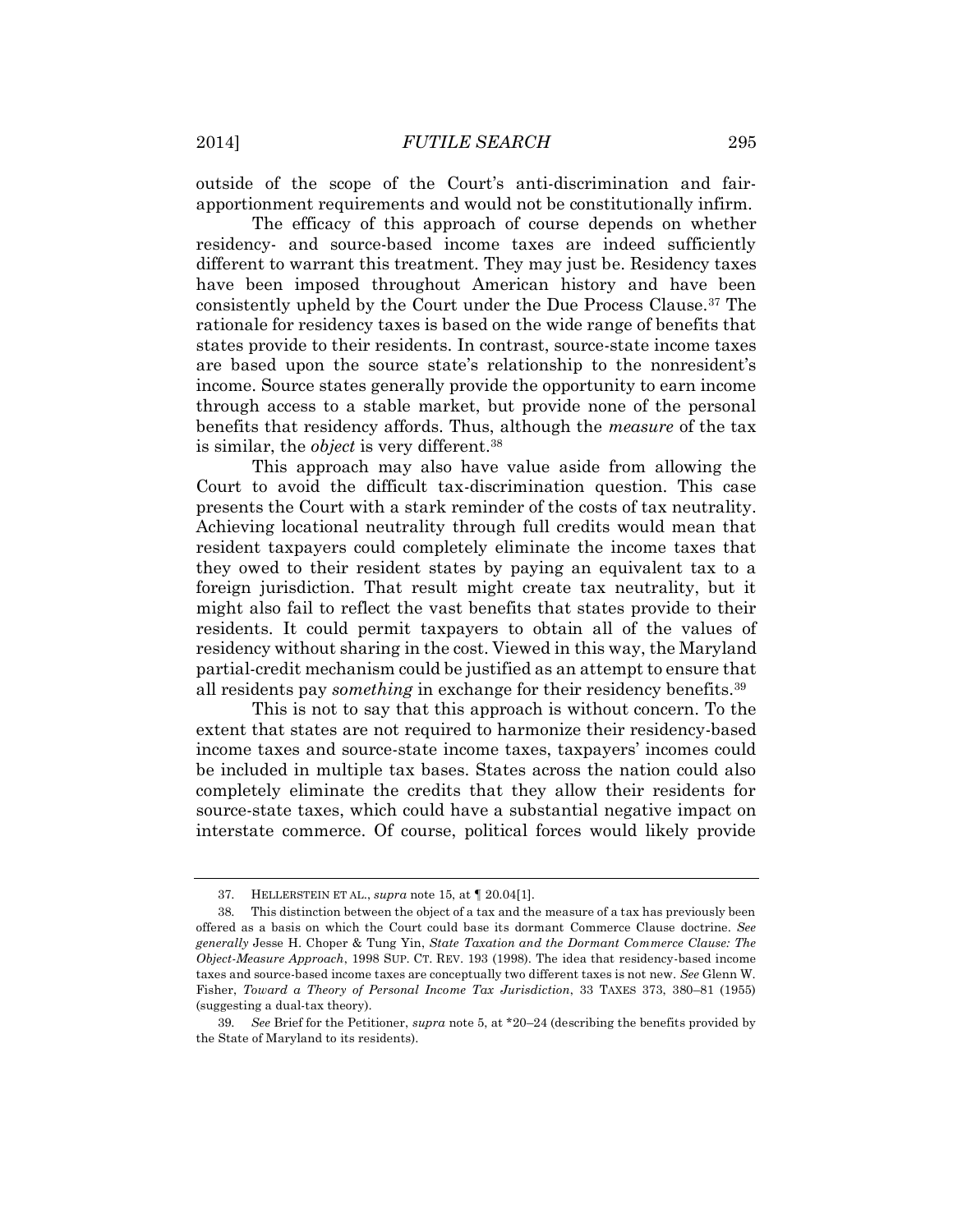outside of the scope of the Court's anti-discrimination and fairapportionment requirements and would not be constitutionally infirm.

The efficacy of this approach of course depends on whether residency- and source-based income taxes are indeed sufficiently different to warrant this treatment. They may just be. Residency taxes have been imposed throughout American history and have been consistently upheld by the Court under the Due Process Clause.<sup>37</sup> The rationale for residency taxes is based on the wide range of benefits that states provide to their residents. In contrast, source-state income taxes are based upon the source state's relationship to the nonresident's income. Source states generally provide the opportunity to earn income through access to a stable market, but provide none of the personal benefits that residency affords. Thus, although the *measure* of the tax is similar, the *object* is very different.<sup>38</sup>

This approach may also have value aside from allowing the Court to avoid the difficult tax-discrimination question. This case presents the Court with a stark reminder of the costs of tax neutrality. Achieving locational neutrality through full credits would mean that resident taxpayers could completely eliminate the income taxes that they owed to their resident states by paying an equivalent tax to a foreign jurisdiction. That result might create tax neutrality, but it might also fail to reflect the vast benefits that states provide to their residents. It could permit taxpayers to obtain all of the values of residency without sharing in the cost. Viewed in this way, the Maryland partial-credit mechanism could be justified as an attempt to ensure that all residents pay *something* in exchange for their residency benefits.<sup>39</sup>

This is not to say that this approach is without concern. To the extent that states are not required to harmonize their residency-based income taxes and source-state income taxes, taxpayers' incomes could be included in multiple tax bases. States across the nation could also completely eliminate the credits that they allow their residents for source-state taxes, which could have a substantial negative impact on interstate commerce. Of course, political forces would likely provide

<sup>37.</sup> HELLERSTEIN ET AL., *supra* note 15, at ¶ 20.04[1].

<sup>38.</sup> This distinction between the object of a tax and the measure of a tax has previously been offered as a basis on which the Court could base its dormant Commerce Clause doctrine. *See generally* Jesse H. Choper & Tung Yin, *State Taxation and the Dormant Commerce Clause: The Object-Measure Approach*, 1998 SUP. CT. REV. 193 (1998). The idea that residency-based income taxes and source-based income taxes are conceptually two different taxes is not new. *See* Glenn W. Fisher, *Toward a Theory of Personal Income Tax Jurisdiction*, 33 TAXES 373, 380–81 (1955) (suggesting a dual-tax theory).

<sup>39.</sup> *See* Brief for the Petitioner, *supra* note 5, at \*20–24 (describing the benefits provided by the State of Maryland to its residents).